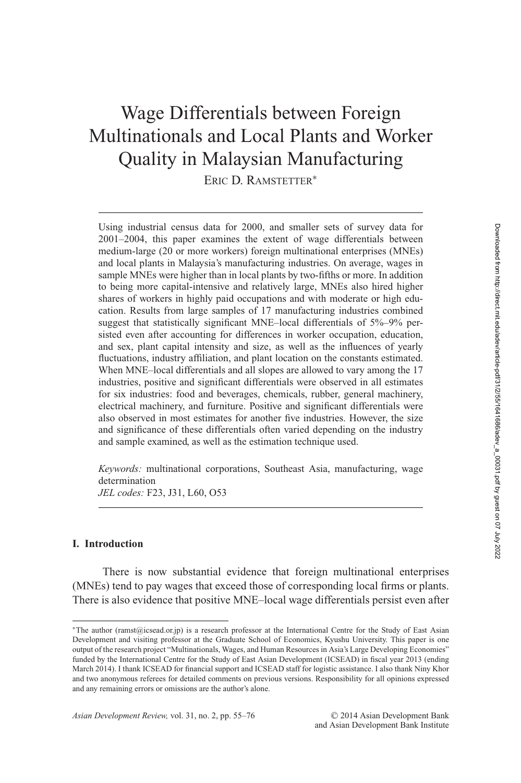# Wage Differentials between Foreign Multinationals and Local Plants and Worker Quality in Malaysian Manufacturing

ERIC D. RAMSTETTER<sup>\*</sup>

Using industrial census data for 2000, and smaller sets of survey data for 2001–2004, this paper examines the extent of wage differentials between medium-large (20 or more workers) foreign multinational enterprises (MNEs) and local plants in Malaysia's manufacturing industries. On average, wages in sample MNEs were higher than in local plants by two-fifths or more. In addition to being more capital-intensive and relatively large, MNEs also hired higher shares of workers in highly paid occupations and with moderate or high education. Results from large samples of 17 manufacturing industries combined suggest that statistically significant MNE–local differentials of 5%–9% persisted even after accounting for differences in worker occupation, education, and sex, plant capital intensity and size, as well as the influences of yearly fluctuations, industry affiliation, and plant location on the constants estimated. When MNE–local differentials and all slopes are allowed to vary among the 17 industries, positive and significant differentials were observed in all estimates for six industries: food and beverages, chemicals, rubber, general machinery, electrical machinery, and furniture. Positive and significant differentials were also observed in most estimates for another five industries. However, the size and significance of these differentials often varied depending on the industry and sample examined, as well as the estimation technique used.

*Keywords:* multinational corporations, Southeast Asia, manufacturing, wage determination *JEL codes:* F23, J31, L60, O53

# **I. Introduction**

There is now substantial evidence that foreign multinational enterprises (MNEs) tend to pay wages that exceed those of corresponding local firms or plants. There is also evidence that positive MNE–local wage differentials persist even after

<sup>∗</sup>The author (ramst@icsead.or.jp) is a research professor at the International Centre for the Study of East Asian Development and visiting professor at the Graduate School of Economics, Kyushu University. This paper is one output of the research project "Multinationals, Wages, and Human Resources in Asia's Large Developing Economies" funded by the International Centre for the Study of East Asian Development (ICSEAD) in fiscal year 2013 (ending March 2014). I thank ICSEAD for financial support and ICSEAD staff for logistic assistance. I also thank Niny Khor and two anonymous referees for detailed comments on previous versions. Responsibility for all opinions expressed and any remaining errors or omissions are the author's alone.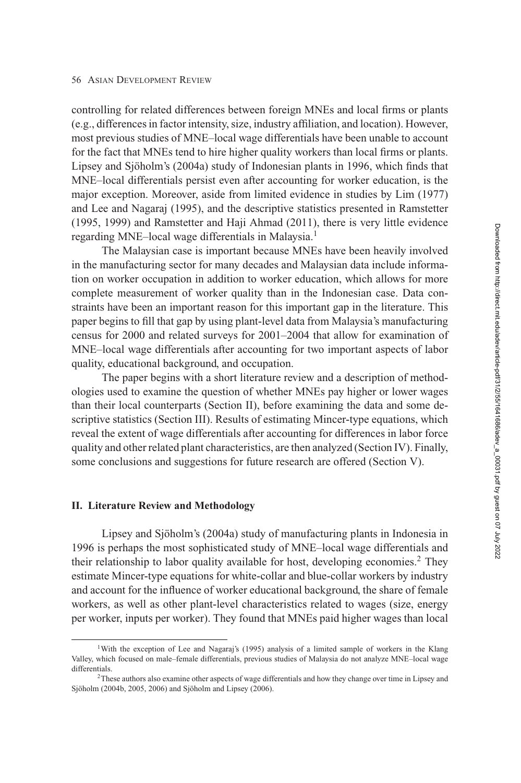controlling for related differences between foreign MNEs and local firms or plants (e.g., differences in factor intensity, size, industry affiliation, and location). However, most previous studies of MNE–local wage differentials have been unable to account for the fact that MNEs tend to hire higher quality workers than local firms or plants. Lipsey and Sjöholm's (2004a) study of Indonesian plants in 1996, which finds that MNE–local differentials persist even after accounting for worker education, is the major exception. Moreover, aside from limited evidence in studies by Lim (1977) and Lee and Nagaraj (1995), and the descriptive statistics presented in Ramstetter (1995, 1999) and Ramstetter and Haji Ahmad (2011), there is very little evidence regarding MNE–local wage differentials in Malaysia.<sup>1</sup>

The Malaysian case is important because MNEs have been heavily involved in the manufacturing sector for many decades and Malaysian data include information on worker occupation in addition to worker education, which allows for more complete measurement of worker quality than in the Indonesian case. Data constraints have been an important reason for this important gap in the literature. This paper begins to fill that gap by using plant-level data from Malaysia's manufacturing census for 2000 and related surveys for 2001–2004 that allow for examination of MNE–local wage differentials after accounting for two important aspects of labor quality, educational background, and occupation.

The paper begins with a short literature review and a description of methodologies used to examine the question of whether MNEs pay higher or lower wages than their local counterparts (Section II), before examining the data and some descriptive statistics (Section III). Results of estimating Mincer-type equations, which reveal the extent of wage differentials after accounting for differences in labor force quality and other related plant characteristics, are then analyzed (Section IV). Finally, some conclusions and suggestions for future research are offered (Section V).

#### **II. Literature Review and Methodology**

Lipsey and Sjöholm's (2004a) study of manufacturing plants in Indonesia in 1996 is perhaps the most sophisticated study of MNE–local wage differentials and their relationship to labor quality available for host, developing economies.<sup>2</sup> They estimate Mincer-type equations for white-collar and blue-collar workers by industry and account for the influence of worker educational background, the share of female workers, as well as other plant-level characteristics related to wages (size, energy per worker, inputs per worker). They found that MNEs paid higher wages than local

<sup>&</sup>lt;sup>1</sup>With the exception of Lee and Nagaraj's (1995) analysis of a limited sample of workers in the Klang Valley, which focused on male–female differentials, previous studies of Malaysia do not analyze MNE–local wage differentials.

<sup>2</sup>These authors also examine other aspects of wage differentials and how they change over time in Lipsey and Sjöholm (2004b, 2005, 2006) and Sjöholm and Lipsey (2006).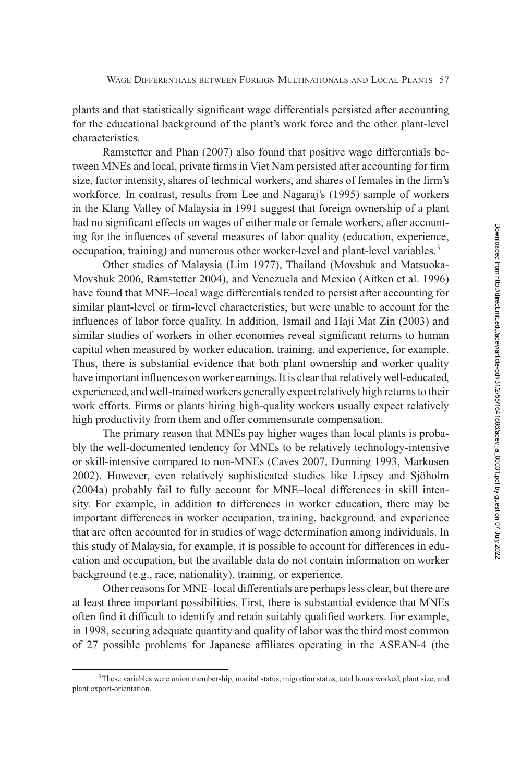plants and that statistically significant wage differentials persisted after accounting for the educational background of the plant's work force and the other plant-level characteristics.

Ramstetter and Phan (2007) also found that positive wage differentials between MNEs and local, private firms in Viet Nam persisted after accounting for firm size, factor intensity, shares of technical workers, and shares of females in the firm's workforce. In contrast, results from Lee and Nagaraj's (1995) sample of workers in the Klang Valley of Malaysia in 1991 suggest that foreign ownership of a plant had no significant effects on wages of either male or female workers, after accounting for the influences of several measures of labor quality (education, experience, occupation, training) and numerous other worker-level and plant-level variables.<sup>3</sup>

Other studies of Malaysia (Lim 1977), Thailand (Movshuk and Matsuoka-Movshuk 2006, Ramstetter 2004), and Venezuela and Mexico (Aitken et al. 1996) have found that MNE–local wage differentials tended to persist after accounting for similar plant-level or firm-level characteristics, but were unable to account for the influences of labor force quality. In addition, Ismail and Haji Mat Zin (2003) and similar studies of workers in other economies reveal significant returns to human capital when measured by worker education, training, and experience, for example. Thus, there is substantial evidence that both plant ownership and worker quality have important influences on worker earnings. It is clear that relatively well-educated, experienced, and well-trained workers generally expect relatively high returns to their work efforts. Firms or plants hiring high-quality workers usually expect relatively high productivity from them and offer commensurate compensation.

The primary reason that MNEs pay higher wages than local plants is probably the well-documented tendency for MNEs to be relatively technology-intensive or skill-intensive compared to non-MNEs (Caves 2007, Dunning 1993, Markusen 2002). However, even relatively sophisticated studies like Lipsey and Sjöholm (2004a) probably fail to fully account for MNE–local differences in skill intensity. For example, in addition to differences in worker education, there may be important differences in worker occupation, training, background, and experience that are often accounted for in studies of wage determination among individuals. In this study of Malaysia, for example, it is possible to account for differences in education and occupation, but the available data do not contain information on worker background (e.g., race, nationality), training, or experience.

Other reasons for MNE–local differentials are perhaps less clear, but there are at least three important possibilities. First, there is substantial evidence that MNEs often find it difficult to identify and retain suitably qualified workers. For example, in 1998, securing adequate quantity and quality of labor was the third most common of 27 possible problems for Japanese affiliates operating in the ASEAN-4 (the

<sup>3</sup>These variables were union membership, marital status, migration status, total hours worked, plant size, and plant export-orientation.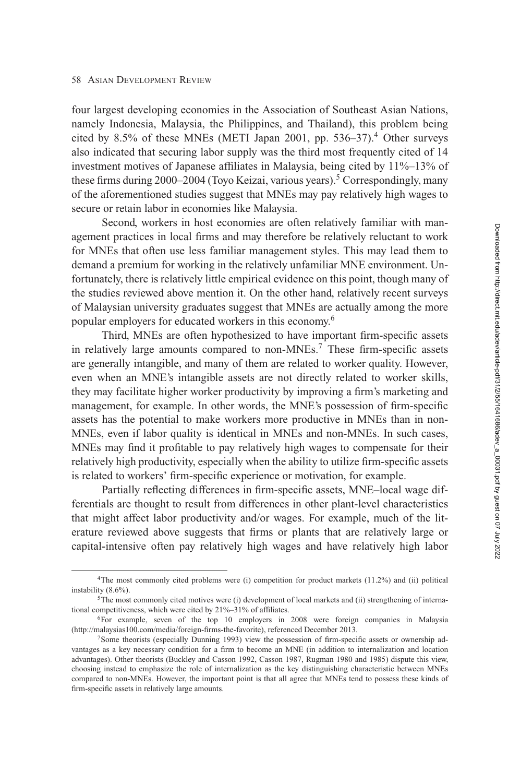four largest developing economies in the Association of Southeast Asian Nations, namely Indonesia, Malaysia, the Philippines, and Thailand), this problem being cited by 8.5% of these MNEs (METI Japan 2001, pp. 536–37).<sup>4</sup> Other surveys also indicated that securing labor supply was the third most frequently cited of 14 investment motives of Japanese affiliates in Malaysia, being cited by 11%–13% of these firms during  $2000-2004$  (Toyo Keizai, various years).<sup>5</sup> Correspondingly, many of the aforementioned studies suggest that MNEs may pay relatively high wages to secure or retain labor in economies like Malaysia.

Second, workers in host economies are often relatively familiar with management practices in local firms and may therefore be relatively reluctant to work for MNEs that often use less familiar management styles. This may lead them to demand a premium for working in the relatively unfamiliar MNE environment. Unfortunately, there is relatively little empirical evidence on this point, though many of the studies reviewed above mention it. On the other hand, relatively recent surveys of Malaysian university graduates suggest that MNEs are actually among the more popular employers for educated workers in this economy.<sup>6</sup>

Third, MNEs are often hypothesized to have important firm-specific assets in relatively large amounts compared to non-MNEs.<sup>7</sup> These firm-specific assets are generally intangible, and many of them are related to worker quality. However, even when an MNE's intangible assets are not directly related to worker skills, they may facilitate higher worker productivity by improving a firm's marketing and management, for example. In other words, the MNE's possession of firm-specific assets has the potential to make workers more productive in MNEs than in non-MNEs, even if labor quality is identical in MNEs and non-MNEs. In such cases, MNEs may find it profitable to pay relatively high wages to compensate for their relatively high productivity, especially when the ability to utilize firm-specific assets is related to workers' firm-specific experience or motivation, for example.

Partially reflecting differences in firm-specific assets, MNE–local wage differentials are thought to result from differences in other plant-level characteristics that might affect labor productivity and/or wages. For example, much of the literature reviewed above suggests that firms or plants that are relatively large or capital-intensive often pay relatively high wages and have relatively high labor

<sup>&</sup>lt;sup>4</sup>The most commonly cited problems were (i) competition for product markets (11.2%) and (ii) political instability (8.6%).

<sup>&</sup>lt;sup>5</sup>The most commonly cited motives were (i) development of local markets and (ii) strengthening of international competitiveness, which were cited by 21%–31% of affiliates.

<sup>6</sup>For example, seven of the top 10 employers in 2008 were foreign companies in Malaysia (http://malaysias100.com/media/foreign-firms-the-favorite), referenced December 2013.

<sup>7</sup>Some theorists (especially Dunning 1993) view the possession of firm-specific assets or ownership advantages as a key necessary condition for a firm to become an MNE (in addition to internalization and location advantages). Other theorists (Buckley and Casson 1992, Casson 1987, Rugman 1980 and 1985) dispute this view, choosing instead to emphasize the role of internalization as the key distinguishing characteristic between MNEs compared to non-MNEs. However, the important point is that all agree that MNEs tend to possess these kinds of firm-specific assets in relatively large amounts.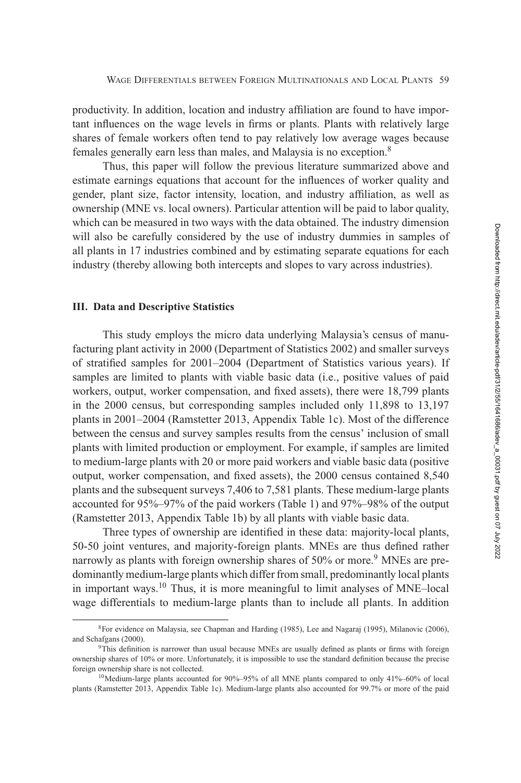productivity. In addition, location and industry affiliation are found to have important influences on the wage levels in firms or plants. Plants with relatively large shares of female workers often tend to pay relatively low average wages because females generally earn less than males, and Malaysia is no exception.<sup>8</sup>

Thus, this paper will follow the previous literature summarized above and estimate earnings equations that account for the influences of worker quality and gender, plant size, factor intensity, location, and industry affiliation, as well as ownership (MNE vs. local owners). Particular attention will be paid to labor quality, which can be measured in two ways with the data obtained. The industry dimension will also be carefully considered by the use of industry dummies in samples of all plants in 17 industries combined and by estimating separate equations for each industry (thereby allowing both intercepts and slopes to vary across industries).

### **III. Data and Descriptive Statistics**

This study employs the micro data underlying Malaysia's census of manufacturing plant activity in 2000 (Department of Statistics 2002) and smaller surveys of stratified samples for 2001–2004 (Department of Statistics various years). If samples are limited to plants with viable basic data (i.e., positive values of paid workers, output, worker compensation, and fixed assets), there were 18,799 plants in the 2000 census, but corresponding samples included only 11,898 to 13,197 plants in 2001–2004 (Ramstetter 2013, Appendix Table 1c). Most of the difference between the census and survey samples results from the census' inclusion of small plants with limited production or employment. For example, if samples are limited to medium-large plants with 20 or more paid workers and viable basic data (positive output, worker compensation, and fixed assets), the 2000 census contained 8,540 plants and the subsequent surveys 7,406 to 7,581 plants. These medium-large plants accounted for 95%–97% of the paid workers (Table 1) and 97%–98% of the output (Ramstetter 2013, Appendix Table 1b) by all plants with viable basic data.

Three types of ownership are identified in these data: majority-local plants, 50-50 joint ventures, and majority-foreign plants. MNEs are thus defined rather narrowly as plants with foreign ownership shares of  $50\%$  or more.<sup>9</sup> MNEs are predominantly medium-large plants which differ from small, predominantly local plants in important ways.<sup>10</sup> Thus, it is more meaningful to limit analyses of MNE–local wage differentials to medium-large plants than to include all plants. In addition

<sup>8</sup>For evidence on Malaysia, see Chapman and Harding (1985), Lee and Nagaraj (1995), Milanovic (2006), and Schafgans (2000).

<sup>9</sup>This definition is narrower than usual because MNEs are usually defined as plants or firms with foreign ownership shares of 10% or more. Unfortunately, it is impossible to use the standard definition because the precise foreign ownership share is not collected.

<sup>10</sup>Medium-large plants accounted for 90%–95% of all MNE plants compared to only 41%–60% of local plants (Ramstetter 2013, Appendix Table 1c). Medium-large plants also accounted for 99.7% or more of the paid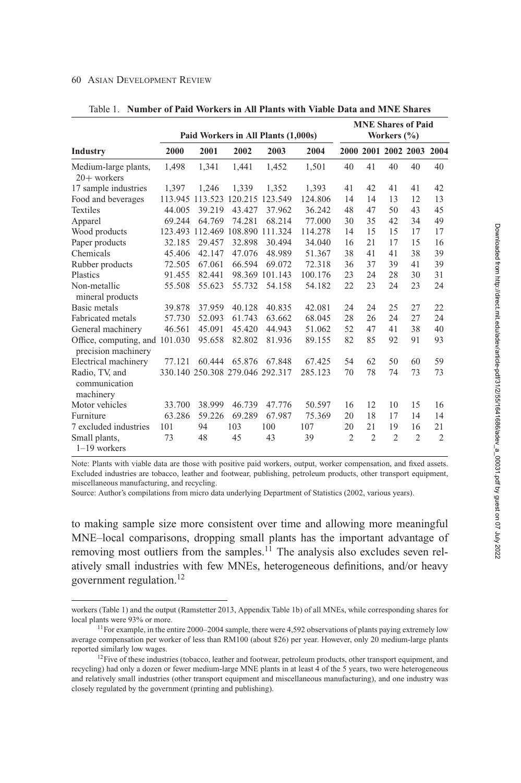|                                                       |         |         | Paid Workers in All Plants (1,000s) | <b>MNE Shares of Paid</b><br>Workers $(\% )$ |         |                |                |                          |                |                |
|-------------------------------------------------------|---------|---------|-------------------------------------|----------------------------------------------|---------|----------------|----------------|--------------------------|----------------|----------------|
| Industry                                              | 2000    | 2001    | 2002                                | 2003                                         | 2004    |                |                | 2000 2001 2002 2003 2004 |                |                |
| Medium-large plants,<br>$20+$ workers                 | 1,498   | 1,341   | 1,441                               | 1,452                                        | 1,501   | 40             | 41             | 40                       | 40             | 40             |
| 17 sample industries                                  | 1.397   | 1.246   | 1.339                               | 1,352                                        | 1,393   | 41             | 42             | 41                       | 41             | 42             |
| Food and beverages                                    | 113.945 | 113.523 | 120.215                             | 123.549                                      | 124.806 | 14             | 14             | 13                       | 12             | 13             |
| <b>Textiles</b>                                       | 44.005  | 39.219  | 43.427                              | 37.962                                       | 36.242  | 48             | 47             | 50                       | 43             | 45             |
| Apparel                                               | 69.244  | 64.769  | 74.281                              | 68.214                                       | 77.000  | 30             | 35             | 42                       | 34             | 49             |
| Wood products                                         |         |         | 123.493 112.469 108.890 111.324     |                                              | 114.278 | 14             | 15             | 15                       | 17             | 17             |
| Paper products                                        | 32.185  | 29.457  | 32.898                              | 30.494                                       | 34.040  | 16             | 21             | 17                       | 15             | 16             |
| Chemicals                                             | 45.406  | 42.147  | 47.076                              | 48.989                                       | 51.367  | 38             | 41             | 41                       | 38             | 39             |
| Rubber products                                       | 72.505  | 67.061  | 66.594                              | 69.072                                       | 72.318  | 36             | 37             | 39                       | 41             | 39             |
| Plastics                                              | 91.455  | 82.441  | 98.369                              | 101.143                                      | 100.176 | 23             | 24             | 28                       | 30             | 31             |
| Non-metallic<br>mineral products                      | 55.508  | 55.623  | 55.732                              | 54.158                                       | 54.182  | 22             | 23             | 24                       | 23             | 24             |
| Basic metals                                          | 39.878  | 37.959  | 40.128                              | 40.835                                       | 42.081  | 24             | 24             | 25                       | 27             | 22             |
| Fabricated metals                                     | 57.730  | 52.093  | 61.743                              | 63.662                                       | 68.045  | 28             | 26             | 24                       | 27             | 24             |
| General machinery                                     | 46.561  | 45.091  | 45.420                              | 44.943                                       | 51.062  | 52             | 47             | 41                       | 38             | 40             |
| Office, computing, and 101.030<br>precision machinery |         | 95.658  | 82.802                              | 81.936                                       | 89.155  | 82             | 85             | 92                       | 91             | 93             |
| Electrical machinery                                  | 77.121  | 60.444  | 65.876                              | 67.848                                       | 67.425  | 54             | 62             | 50                       | 60             | 59             |
| Radio, TV, and<br>communication<br>machinery          |         |         | 330.140 250.308 279.046 292.317     |                                              | 285.123 | 70             | 78             | 74                       | 73             | 73             |
| Motor vehicles                                        | 33.700  | 38.999  | 46.739                              | 47.776                                       | 50.597  | 16             | 12             | 10                       | 15             | 16             |
| Furniture                                             | 63.286  | 59.226  | 69.289                              | 67.987                                       | 75.369  | 20             | 18             | 17                       | 14             | 14             |
| 7 excluded industries                                 | 101     | 94      | 103                                 | 100                                          | 107     | 20             | 21             | 19                       | 16             | 21             |
| Small plants,<br>$1-19$ workers                       | 73      | 48      | 45                                  | 43                                           | 39      | $\overline{2}$ | $\overline{2}$ | $\overline{2}$           | $\overline{2}$ | $\overline{2}$ |

Table 1. **Number of Paid Workers in All Plants with Viable Data and MNE Shares**

Note: Plants with viable data are those with positive paid workers, output, worker compensation, and fixed assets. Excluded industries are tobacco, leather and footwear, publishing, petroleum products, other transport equipment, miscellaneous manufacturing, and recycling.

Source: Author's compilations from micro data underlying Department of Statistics (2002, various years).

to making sample size more consistent over time and allowing more meaningful MNE–local comparisons, dropping small plants has the important advantage of removing most outliers from the samples.<sup>11</sup> The analysis also excludes seven relatively small industries with few MNEs, heterogeneous definitions, and/or heavy government regulation.<sup>12</sup>

workers (Table 1) and the output (Ramstetter 2013, Appendix Table 1b) of all MNEs, while corresponding shares for local plants were 93% or more.

 $11$  For example, in the entire 2000–2004 sample, there were 4,592 observations of plants paying extremely low average compensation per worker of less than RM100 (about \$26) per year. However, only 20 medium-large plants reported similarly low wages.

<sup>&</sup>lt;sup>12</sup>Five of these industries (tobacco, leather and footwear, petroleum products, other transport equipment, and recycling) had only a dozen or fewer medium-large MNE plants in at least 4 of the 5 years, two were heterogeneous and relatively small industries (other transport equipment and miscellaneous manufacturing), and one industry was closely regulated by the government (printing and publishing).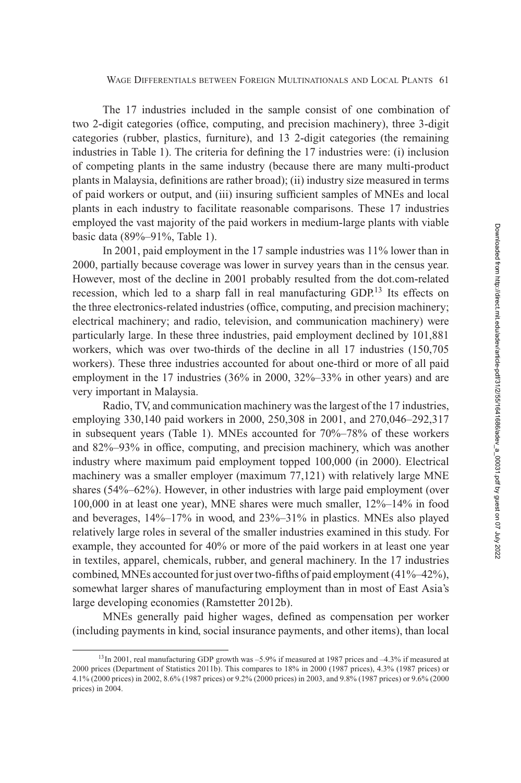The 17 industries included in the sample consist of one combination of two 2-digit categories (office, computing, and precision machinery), three 3-digit categories (rubber, plastics, furniture), and 13 2-digit categories (the remaining industries in Table 1). The criteria for defining the 17 industries were: (i) inclusion of competing plants in the same industry (because there are many multi-product plants in Malaysia, definitions are rather broad); (ii) industry size measured in terms of paid workers or output, and (iii) insuring sufficient samples of MNEs and local plants in each industry to facilitate reasonable comparisons. These 17 industries employed the vast majority of the paid workers in medium-large plants with viable basic data (89%–91%, Table 1).

In 2001, paid employment in the 17 sample industries was 11% lower than in 2000, partially because coverage was lower in survey years than in the census year. However, most of the decline in 2001 probably resulted from the dot.com-related recession, which led to a sharp fall in real manufacturing GDP.<sup>13</sup> Its effects on the three electronics-related industries (office, computing, and precision machinery; electrical machinery; and radio, television, and communication machinery) were particularly large. In these three industries, paid employment declined by 101,881 workers, which was over two-thirds of the decline in all 17 industries (150,705 workers). These three industries accounted for about one-third or more of all paid employment in the 17 industries (36% in 2000, 32%–33% in other years) and are very important in Malaysia.

Radio, TV, and communication machinery was the largest of the 17 industries, employing 330,140 paid workers in 2000, 250,308 in 2001, and 270,046–292,317 in subsequent years (Table 1). MNEs accounted for 70%–78% of these workers and 82%–93% in office, computing, and precision machinery, which was another industry where maximum paid employment topped 100,000 (in 2000). Electrical machinery was a smaller employer (maximum 77,121) with relatively large MNE shares (54%–62%). However, in other industries with large paid employment (over 100,000 in at least one year), MNE shares were much smaller, 12%–14% in food and beverages, 14%–17% in wood, and 23%–31% in plastics. MNEs also played relatively large roles in several of the smaller industries examined in this study. For example, they accounted for 40% or more of the paid workers in at least one year in textiles, apparel, chemicals, rubber, and general machinery. In the 17 industries combined, MNEs accounted for just over two-fifths of paid employment (41%–42%), somewhat larger shares of manufacturing employment than in most of East Asia's large developing economies (Ramstetter 2012b).

MNEs generally paid higher wages, defined as compensation per worker (including payments in kind, social insurance payments, and other items), than local

<sup>13</sup>In 2001, real manufacturing GDP growth was –5.9% if measured at 1987 prices and –4.3% if measured at 2000 prices (Department of Statistics 2011b). This compares to 18% in 2000 (1987 prices), 4.3% (1987 prices) or 4.1% (2000 prices) in 2002, 8.6% (1987 prices) or 9.2% (2000 prices) in 2003, and 9.8% (1987 prices) or 9.6% (2000 prices) in 2004.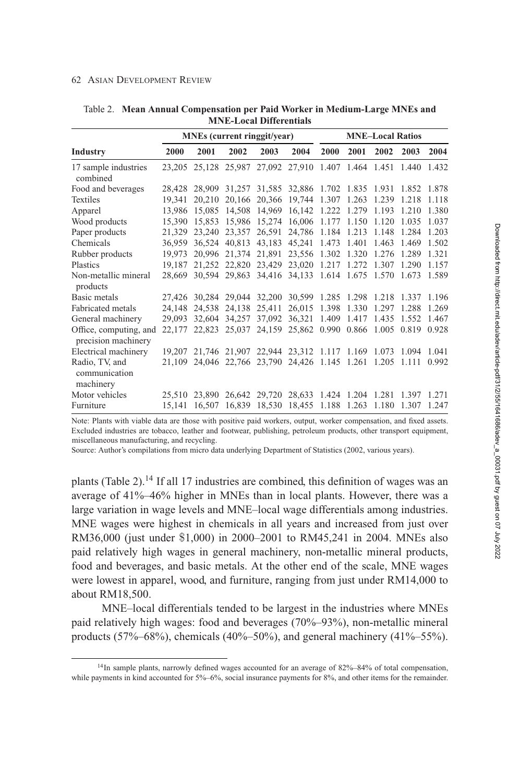|                                               | <b>MNEs</b> (current ringgit/year) |               |                      |                                                                  |                           |                   | <b>MNE-Local Ratios</b> |       |             |       |  |  |  |
|-----------------------------------------------|------------------------------------|---------------|----------------------|------------------------------------------------------------------|---------------------------|-------------------|-------------------------|-------|-------------|-------|--|--|--|
| <b>Industry</b>                               | 2000                               | 2001          | 2002                 | 2003                                                             | 2004                      | 2000              | 2001                    | 2002  | 2003        | 2004  |  |  |  |
| 17 sample industries<br>combined              |                                    |               |                      | 23,205 25,128 25,987 27,092 27,910 1.407 1.464 1.451 1.440 1.432 |                           |                   |                         |       |             |       |  |  |  |
| Food and beverages                            |                                    | 28.428 28.909 |                      | 31,257 31,585 32,886 1.702 1.835 1.931                           |                           |                   |                         |       | 1.852 1.878 |       |  |  |  |
| Textiles                                      | 19.341                             | 20.210        | 20,166               | 20,366                                                           | 19,744 1.307 1.263 1.239  |                   |                         |       | 1.218       | 1.118 |  |  |  |
| Apparel                                       | 13.986                             | 15.085        | 14,508               | 14,969                                                           | 16, 142 1.222 1.279 1.193 |                   |                         |       | 1.210       | 1.380 |  |  |  |
| Wood products                                 | 15.390                             | 15.853        | 15.986               | 15.274                                                           | 16.006 1.177 1.150 1.120  |                   |                         |       | 1.035       | 1.037 |  |  |  |
| Paper products                                | 21.329                             | 23,240        | 23.357               | 26,591                                                           | 24,786                    | 1.184 1.213 1.148 |                         |       | 1.284       | 1.203 |  |  |  |
| Chemicals                                     | 36.959                             | 36.524        | 40.813               | 43,183                                                           | 45,241                    | 1.473 1.401       |                         | 1.463 | 1.469       | 1.502 |  |  |  |
| Rubber products                               | 19.973                             | 20,996        | 21,374               | 21,891                                                           | 23,556 1.302 1.320        |                   |                         | 1.276 | 1.289       | 1.321 |  |  |  |
| Plastics                                      | 19.187                             | 21.252        | 22,820               | 23,429                                                           | 23,020                    |                   | 1.217 1.272 1.307       |       | 1.290       | 1.157 |  |  |  |
| Non-metallic mineral<br>products              |                                    |               | 28,669 30,594 29,863 | 34,416                                                           | 34,133 1.614 1.675 1.570  |                   |                         |       | 1.673       | 1.589 |  |  |  |
| Basic metals                                  |                                    |               |                      | 27,426 30,284 29,044 32,200 30,599 1.285 1.298 1.218             |                           |                   |                         |       | 1.337 1.196 |       |  |  |  |
| Fabricated metals                             | 24.148                             | 24.538        | 24,138               | 25,411                                                           | 26,015 1.398 1.330        |                   |                         | 1.297 | 1.288       | 1.269 |  |  |  |
| General machinery                             | 29.093                             | 32,604        | 34,257               | 37,092                                                           | 36,321                    | 1.409 1.417 1.435 |                         |       | 1.552       | 1.467 |  |  |  |
| Office, computing, and<br>precision machinery | 22.177                             |               | 22,823 25,037        |                                                                  | 24,159 25,862 0.990 0.866 |                   |                         |       | 1.005 0.819 | 0.928 |  |  |  |
| Electrical machinery                          |                                    |               |                      | 19,207 21,746 21,907 22,944 23,312 1.117 1.169 1.073 1.094 1.041 |                           |                   |                         |       |             |       |  |  |  |
| Radio, TV, and<br>communication<br>machinery  | 21.109                             |               |                      | 24,046 22,766 23,790 24,426 1.145 1.261                          |                           |                   |                         | 1.205 | -1.111      | 0.992 |  |  |  |
| Motor vehicles                                | 25.510                             | 23,890        |                      | 26,642 29,720 28,633 1.424 1.204 1.281 1.397 1.271               |                           |                   |                         |       |             |       |  |  |  |
| Furniture                                     | 15.141                             |               |                      | 16,507 16,839 18,530 18,455 1.188 1.263 1.180                    |                           |                   |                         |       | 1.307       | 1.247 |  |  |  |

Table 2. **Mean Annual Compensation per Paid Worker in Medium-Large MNEs and MNE-Local Differentials**

Note: Plants with viable data are those with positive paid workers, output, worker compensation, and fixed assets. Excluded industries are tobacco, leather and footwear, publishing, petroleum products, other transport equipment, miscellaneous manufacturing, and recycling.

Source: Author's compilations from micro data underlying Department of Statistics (2002, various years).

plants (Table 2).<sup>14</sup> If all 17 industries are combined, this definition of wages was an average of 41%–46% higher in MNEs than in local plants. However, there was a large variation in wage levels and MNE–local wage differentials among industries. MNE wages were highest in chemicals in all years and increased from just over RM36,000 (just under \$1,000) in 2000–2001 to RM45,241 in 2004. MNEs also paid relatively high wages in general machinery, non-metallic mineral products, food and beverages, and basic metals. At the other end of the scale, MNE wages were lowest in apparel, wood, and furniture, ranging from just under RM14,000 to about RM18,500.

MNE–local differentials tended to be largest in the industries where MNEs paid relatively high wages: food and beverages (70%–93%), non-metallic mineral products (57%–68%), chemicals (40%–50%), and general machinery (41%–55%).

<sup>14</sup>In sample plants, narrowly defined wages accounted for an average of 82%–84% of total compensation, while payments in kind accounted for 5%–6%, social insurance payments for 8%, and other items for the remainder.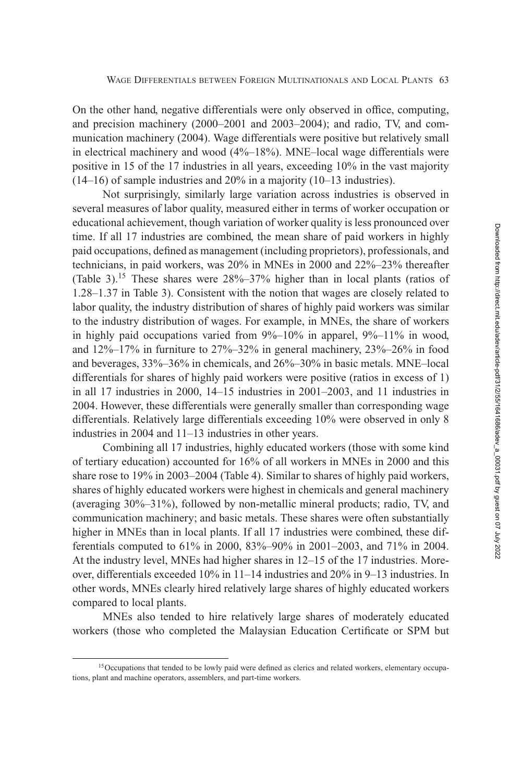On the other hand, negative differentials were only observed in office, computing, and precision machinery (2000–2001 and 2003–2004); and radio, TV, and communication machinery (2004). Wage differentials were positive but relatively small in electrical machinery and wood (4%–18%). MNE–local wage differentials were positive in 15 of the 17 industries in all years, exceeding 10% in the vast majority (14–16) of sample industries and 20% in a majority (10–13 industries).

Not surprisingly, similarly large variation across industries is observed in several measures of labor quality, measured either in terms of worker occupation or educational achievement, though variation of worker quality is less pronounced over time. If all 17 industries are combined, the mean share of paid workers in highly paid occupations, defined as management (including proprietors), professionals, and technicians, in paid workers, was 20% in MNEs in 2000 and 22%–23% thereafter (Table 3).<sup>15</sup> These shares were  $28\% - 37\%$  higher than in local plants (ratios of 1.28–1.37 in Table 3). Consistent with the notion that wages are closely related to labor quality, the industry distribution of shares of highly paid workers was similar to the industry distribution of wages. For example, in MNEs, the share of workers in highly paid occupations varied from 9%–10% in apparel, 9%–11% in wood, and 12%–17% in furniture to 27%–32% in general machinery, 23%–26% in food and beverages, 33%–36% in chemicals, and 26%–30% in basic metals. MNE–local differentials for shares of highly paid workers were positive (ratios in excess of 1) in all 17 industries in 2000, 14–15 industries in 2001–2003, and 11 industries in 2004. However, these differentials were generally smaller than corresponding wage differentials. Relatively large differentials exceeding 10% were observed in only 8 industries in 2004 and 11–13 industries in other years.

Combining all 17 industries, highly educated workers (those with some kind of tertiary education) accounted for 16% of all workers in MNEs in 2000 and this share rose to 19% in 2003–2004 (Table 4). Similar to shares of highly paid workers, shares of highly educated workers were highest in chemicals and general machinery (averaging 30%–31%), followed by non-metallic mineral products; radio, TV, and communication machinery; and basic metals. These shares were often substantially higher in MNEs than in local plants. If all 17 industries were combined, these differentials computed to 61% in 2000, 83%–90% in 2001–2003, and 71% in 2004. At the industry level, MNEs had higher shares in 12–15 of the 17 industries. Moreover, differentials exceeded 10% in 11–14 industries and 20% in 9–13 industries. In other words, MNEs clearly hired relatively large shares of highly educated workers compared to local plants.

MNEs also tended to hire relatively large shares of moderately educated workers (those who completed the Malaysian Education Certificate or SPM but

<sup>&</sup>lt;sup>15</sup>Occupations that tended to be lowly paid were defined as clerics and related workers, elementary occupations, plant and machine operators, assemblers, and part-time workers.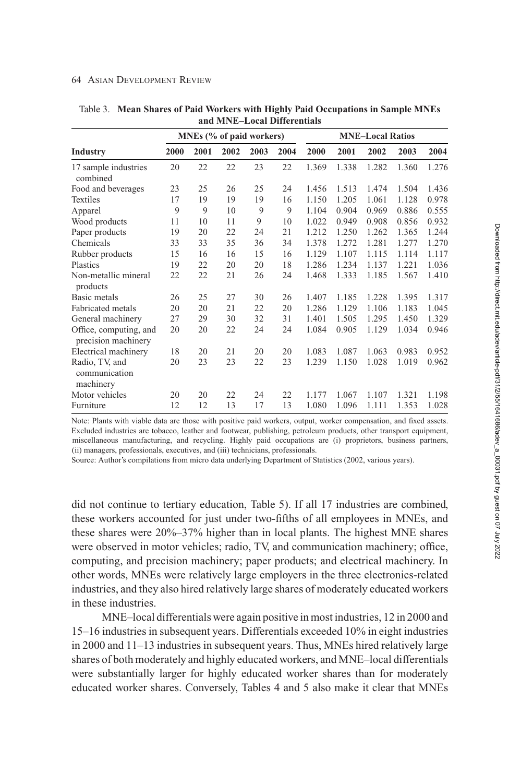|                                               |      |      | MNEs (% of paid workers) |      |      | <b>MNE-Local Ratios</b> |       |       |       |       |  |
|-----------------------------------------------|------|------|--------------------------|------|------|-------------------------|-------|-------|-------|-------|--|
| Industry                                      | 2000 | 2001 | 2002                     | 2003 | 2004 | 2000                    | 2001  | 2002  | 2003  | 2004  |  |
| 17 sample industries<br>combined              | 20   | 22   | 22                       | 23   | 22   | 1.369                   | 1.338 | 1.282 | 1.360 | 1.276 |  |
| Food and beverages                            | 23   | 25   | 26                       | 25   | 24   | 1.456                   | 1.513 | 1.474 | 1.504 | 1.436 |  |
| Textiles                                      | 17   | 19   | 19                       | 19   | 16   | 1.150                   | 1.205 | 1.061 | 1.128 | 0.978 |  |
| Apparel                                       | 9    | 9    | 10                       | 9    | 9    | 1.104                   | 0.904 | 0.969 | 0.886 | 0.555 |  |
| Wood products                                 | 11   | 10   | 11                       | 9    | 10   | 1.022                   | 0.949 | 0.908 | 0.856 | 0.932 |  |
| Paper products                                | 19   | 20   | 22                       | 24   | 21   | 1.212                   | 1.250 | 1.262 | 1.365 | 1.244 |  |
| Chemicals                                     | 33   | 33   | 35                       | 36   | 34   | 1.378                   | 1.272 | 1.281 | 1.277 | 1.270 |  |
| Rubber products                               | 15   | 16   | 16                       | 15   | 16   | 1.129                   | 1.107 | 1.115 | 1.114 | 1.117 |  |
| Plastics                                      | 19   | 22   | 20                       | 20   | 18   | 1.286                   | 1.234 | 1.137 | 1.221 | 1.036 |  |
| Non-metallic mineral<br>products              | 22   | 22   | 21                       | 26   | 24   | 1.468                   | 1.333 | 1.185 | 1.567 | 1.410 |  |
| Basic metals                                  | 26   | 25   | 27                       | 30   | 26   | 1.407                   | 1.185 | 1.228 | 1.395 | 1.317 |  |
| Fabricated metals                             | 20   | 20   | 21                       | 22   | 20   | 1.286                   | 1.129 | 1.106 | 1.183 | 1.045 |  |
| General machinery                             | 27   | 29   | 30                       | 32   | 31   | 1.401                   | 1.505 | 1.295 | 1.450 | 1.329 |  |
| Office, computing, and<br>precision machinery | 20   | 20   | 22                       | 24   | 24   | 1.084                   | 0.905 | 1.129 | 1.034 | 0.946 |  |
| Electrical machinery                          | 18   | 20   | 21                       | 20   | 20   | 1.083                   | 1.087 | 1.063 | 0.983 | 0.952 |  |
| Radio, TV, and<br>communication<br>machinery  | 20   | 23   | 23                       | 22   | 23   | 1.239                   | 1.150 | 1.028 | 1.019 | 0.962 |  |
| Motor vehicles                                | 20   | 20   | 22                       | 24   | 22   | 1.177                   | 1.067 | 1.107 | 1.321 | 1.198 |  |
| Furniture                                     | 12   | 12   | 13                       | 17   | 13   | 1.080                   | 1.096 | 1.111 | 1.353 | 1.028 |  |

Table 3. **Mean Shares of Paid Workers with Highly Paid Occupations in Sample MNEs and MNE–Local Differentials**

Note: Plants with viable data are those with positive paid workers, output, worker compensation, and fixed assets. Excluded industries are tobacco, leather and footwear, publishing, petroleum products, other transport equipment, miscellaneous manufacturing, and recycling. Highly paid occupations are (i) proprietors, business partners, (ii) managers, professionals, executives, and (iii) technicians, professionals.

Source: Author's compilations from micro data underlying Department of Statistics (2002, various years).

did not continue to tertiary education, Table 5). If all 17 industries are combined, these workers accounted for just under two-fifths of all employees in MNEs, and these shares were 20%–37% higher than in local plants. The highest MNE shares were observed in motor vehicles; radio, TV, and communication machinery; office, computing, and precision machinery; paper products; and electrical machinery. In other words, MNEs were relatively large employers in the three electronics-related industries, and they also hired relatively large shares of moderately educated workers in these industries.

MNE–local differentials were again positive in most industries, 12 in 2000 and 15–16 industries in subsequent years. Differentials exceeded 10% in eight industries in 2000 and 11–13 industries in subsequent years. Thus, MNEs hired relatively large shares of both moderately and highly educated workers, and MNE–local differentials were substantially larger for highly educated worker shares than for moderately educated worker shares. Conversely, Tables 4 and 5 also make it clear that MNEs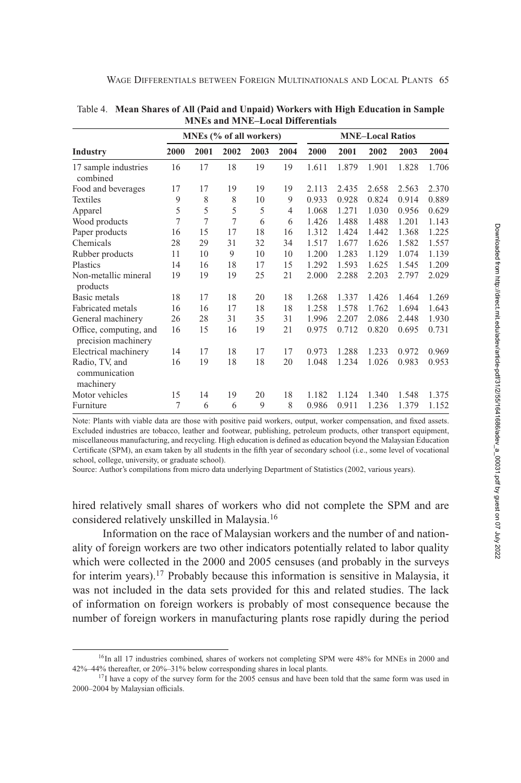|                                               |      |      | MNEs (% of all workers) |      |      | <b>MNE-Local Ratios</b> |       |       |       |       |  |
|-----------------------------------------------|------|------|-------------------------|------|------|-------------------------|-------|-------|-------|-------|--|
| Industry                                      | 2000 | 2001 | 2002                    | 2003 | 2004 | 2000                    | 2001  | 2002  | 2003  | 2004  |  |
| 17 sample industries<br>combined              | 16   | 17   | 18                      | 19   | 19   | 1.611                   | 1.879 | 1.901 | 1.828 | 1.706 |  |
| Food and beverages                            | 17   | 17   | 19                      | 19   | 19   | 2.113                   | 2.435 | 2.658 | 2.563 | 2.370 |  |
| <b>Textiles</b>                               | 9    | 8    | 8                       | 10   | 9    | 0.933                   | 0.928 | 0.824 | 0.914 | 0.889 |  |
| Apparel                                       | 5    | 5    | 5                       | 5    | 4    | 1.068                   | 1.271 | 1.030 | 0.956 | 0.629 |  |
| Wood products                                 | 7    | 7    | 7                       | 6    | 6    | 1.426                   | 1.488 | 1.488 | 1.201 | 1.143 |  |
| Paper products                                | 16   | 15   | 17                      | 18   | 16   | 1.312                   | 1.424 | 1.442 | 1.368 | 1.225 |  |
| Chemicals                                     | 28   | 29   | 31                      | 32   | 34   | 1.517                   | 1.677 | 1.626 | 1.582 | 1.557 |  |
| Rubber products                               | 11   | 10   | 9                       | 10   | 10   | 1.200                   | 1.283 | 1.129 | 1.074 | 1.139 |  |
| Plastics                                      | 14   | 16   | 18                      | 17   | 15   | 1.292                   | 1.593 | 1.625 | 1.545 | 1.209 |  |
| Non-metallic mineral<br>products              | 19   | 19   | 19                      | 25   | 21   | 2.000                   | 2.288 | 2.203 | 2.797 | 2.029 |  |
| Basic metals                                  | 18   | 17   | 18                      | 20   | 18   | 1.268                   | 1.337 | 1.426 | 1.464 | 1.269 |  |
| Fabricated metals                             | 16   | 16   | 17                      | 18   | 18   | 1.258                   | 1.578 | 1.762 | 1.694 | 1.643 |  |
| General machinery                             | 26   | 28   | 31                      | 35   | 31   | 1.996                   | 2.207 | 2.086 | 2.448 | 1.930 |  |
| Office, computing, and<br>precision machinery | 16   | 15   | 16                      | 19   | 21   | 0.975                   | 0.712 | 0.820 | 0.695 | 0.731 |  |
| Electrical machinery                          | 14   | 17   | 18                      | 17   | 17   | 0.973                   | 1.288 | 1.233 | 0.972 | 0.969 |  |
| Radio, TV, and<br>communication<br>machinery  | 16   | 19   | 18                      | 18   | 20   | 1.048                   | 1.234 | 1.026 | 0.983 | 0.953 |  |
| Motor vehicles                                | 15   | 14   | 19                      | 20   | 18   | 1.182                   | 1.124 | 1.340 | 1.548 | 1.375 |  |
| Furniture                                     | 7    | 6    | 6                       | 9    | 8    | 0.986                   | 0.911 | 1.236 | 1.379 | 1.152 |  |

Table 4. **Mean Shares of All (Paid and Unpaid) Workers with High Education in Sample MNEs and MNE–Local Differentials**

Note: Plants with viable data are those with positive paid workers, output, worker compensation, and fixed assets. Excluded industries are tobacco, leather and footwear, publishing, petroleum products, other transport equipment, miscellaneous manufacturing, and recycling. High education is defined as education beyond the Malaysian Education Certificate (SPM), an exam taken by all students in the fifth year of secondary school (i.e., some level of vocational school, college, university, or graduate school).

Source: Author's compilations from micro data underlying Department of Statistics (2002, various years).

hired relatively small shares of workers who did not complete the SPM and are considered relatively unskilled in Malaysia.<sup>16</sup>

Information on the race of Malaysian workers and the number of and nationality of foreign workers are two other indicators potentially related to labor quality which were collected in the 2000 and 2005 censuses (and probably in the surveys for interim years).<sup>17</sup> Probably because this information is sensitive in Malaysia, it was not included in the data sets provided for this and related studies. The lack of information on foreign workers is probably of most consequence because the number of foreign workers in manufacturing plants rose rapidly during the period

<sup>&</sup>lt;sup>16</sup>In all 17 industries combined, shares of workers not completing SPM were 48% for MNEs in 2000 and 42%–44% thereafter, or 20%–31% below corresponding shares in local plants.

<sup>&</sup>lt;sup>17</sup>I have a copy of the survey form for the 2005 census and have been told that the same form was used in 2000–2004 by Malaysian officials.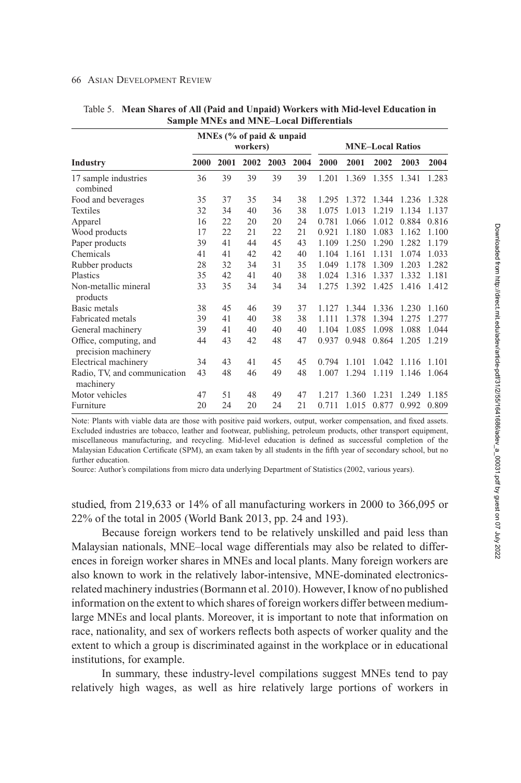|                                               |      |      | MNEs $\frac{6}{6}$ of paid & unpaid<br>workers) |      |      | <b>MNE-Local Ratios</b> |       |       |       |       |
|-----------------------------------------------|------|------|-------------------------------------------------|------|------|-------------------------|-------|-------|-------|-------|
| Industry                                      | 2000 | 2001 | 2002                                            | 2003 | 2004 | 2000                    | 2001  | 2002  | 2003  | 2004  |
| 17 sample industries<br>combined              | 36   | 39   | 39                                              | 39   | 39   | 1.201                   | 1.369 | 1.355 | 1.341 | 1.283 |
| Food and beverages                            | 35   | 37   | 35                                              | 34   | 38   | 1.295                   | 1.372 | 1.344 | 1.236 | 1.328 |
| <b>Textiles</b>                               | 32   | 34   | 40                                              | 36   | 38   | 1.075                   | 1.013 | 1.219 | 1.134 | 1.137 |
| Apparel                                       | 16   | 22   | 20                                              | 20   | 24   | 0.781                   | 1.066 | 1.012 | 0.884 | 0.816 |
| Wood products                                 | 17   | 22   | 21                                              | 22   | 21   | 0.921                   | 1.180 | 1.083 | 1.162 | 1.100 |
| Paper products                                | 39   | 41   | 44                                              | 45   | 43   | 1.109                   | 1.250 | 1.290 | 1.282 | 1.179 |
| Chemicals                                     | 41   | 41   | 42                                              | 42   | 40   | 1.104                   | 1.161 | 1.131 | 1.074 | 1.033 |
| Rubber products                               | 28   | 32   | 34                                              | 31   | 35   | 1.049                   | 1.178 | 1.309 | 1.203 | 1.282 |
| Plastics                                      | 35   | 42   | 41                                              | 40   | 38   | 1.024                   | 1.316 | 1.337 | 1.332 | 1.181 |
| Non-metallic mineral<br>products              | 33   | 35   | 34                                              | 34   | 34   | 1.275                   | 1.392 | 1.425 | 1.416 | 1.412 |
| Basic metals                                  | 38   | 45   | 46                                              | 39   | 37   | 1.127                   | 1.344 | 1.336 | 1.230 | 1.160 |
| Fabricated metals                             | 39   | 41   | 40                                              | 38   | 38   | 1.111                   | 1.378 | 1.394 | 1.275 | 1.277 |
| General machinery                             | 39   | 41   | 40                                              | 40   | 40   | 1.104                   | 1.085 | 1.098 | 1.088 | 1.044 |
| Office, computing, and<br>precision machinery | 44   | 43   | 42                                              | 48   | 47   | 0.937                   | 0.948 | 0.864 | 1.205 | 1.219 |
| Electrical machinery                          | 34   | 43   | 41                                              | 45   | 45   | 0.794                   | 1.101 | 1.042 | 1.116 | 1.101 |
| Radio, TV, and communication<br>machinery     | 43   | 48   | 46                                              | 49   | 48   | 1.007                   | 1.294 | 1.119 | 1.146 | 1.064 |
| Motor vehicles                                | 47   | 51   | 48                                              | 49   | 47   | 1.217                   | 1.360 | 1.231 | 1.249 | 1.185 |
| Furniture                                     | 20   | 24   | 20                                              | 24   | 21   | 0.711                   | 1.015 | 0.877 | 0.992 | 0.809 |

Table 5. **Mean Shares of All (Paid and Unpaid) Workers with Mid-level Education in Sample MNEs and MNE–Local Differentials**

Note: Plants with viable data are those with positive paid workers, output, worker compensation, and fixed assets. Excluded industries are tobacco, leather and footwear, publishing, petroleum products, other transport equipment, miscellaneous manufacturing, and recycling. Mid-level education is defined as successful completion of the Malaysian Education Certificate (SPM), an exam taken by all students in the fifth year of secondary school, but no further education.

Source: Author's compilations from micro data underlying Department of Statistics (2002, various years).

studied, from 219,633 or 14% of all manufacturing workers in 2000 to 366,095 or 22% of the total in 2005 (World Bank 2013, pp. 24 and 193).

Because foreign workers tend to be relatively unskilled and paid less than Malaysian nationals, MNE–local wage differentials may also be related to differences in foreign worker shares in MNEs and local plants. Many foreign workers are also known to work in the relatively labor-intensive, MNE-dominated electronicsrelated machinery industries (Bormann et al. 2010). However, I know of no published information on the extent to which shares of foreign workers differ between mediumlarge MNEs and local plants. Moreover, it is important to note that information on race, nationality, and sex of workers reflects both aspects of worker quality and the extent to which a group is discriminated against in the workplace or in educational institutions, for example.

In summary, these industry-level compilations suggest MNEs tend to pay relatively high wages, as well as hire relatively large portions of workers in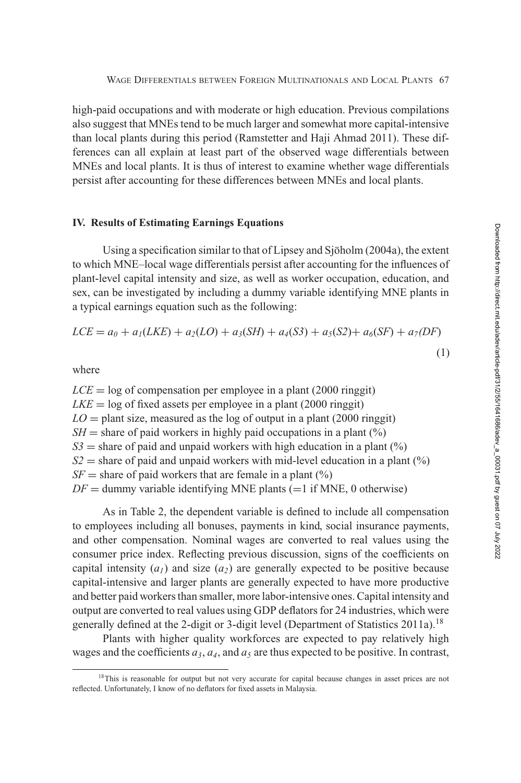high-paid occupations and with moderate or high education. Previous compilations also suggest that MNEs tend to be much larger and somewhat more capital-intensive than local plants during this period (Ramstetter and Haji Ahmad 2011). These differences can all explain at least part of the observed wage differentials between MNEs and local plants. It is thus of interest to examine whether wage differentials persist after accounting for these differences between MNEs and local plants.

## **IV. Results of Estimating Earnings Equations**

Using a specification similar to that of Lipsey and Sjöholm  $(2004a)$ , the extent to which MNE–local wage differentials persist after accounting for the influences of plant-level capital intensity and size, as well as worker occupation, education, and sex, can be investigated by including a dummy variable identifying MNE plants in a typical earnings equation such as the following:

$$
LCE = a_0 + a_1(LKE) + a_2(LO) + a_3(SH) + a_4(S3) + a_5(S2) + a_6(SF) + a_7(DF)
$$
\n(1)

where

 $LCE = \log$  of compensation per employee in a plant (2000 ringgit)  $LKE = \log$  of fixed assets per employee in a plant (2000 ringgit)  $LO =$  plant size, measured as the log of output in a plant (2000 ringgit)  $SH =$  share of paid workers in highly paid occupations in a plant  $(\%)$  $S3$  = share of paid and unpaid workers with high education in a plant  $(\%)$  $S2$  = share of paid and unpaid workers with mid-level education in a plant (%)  $SF =$  share of paid workers that are female in a plant  $(\%)$  $DF =$  dummy variable identifying MNE plants (=1 if MNE, 0 otherwise)

As in Table 2, the dependent variable is defined to include all compensation to employees including all bonuses, payments in kind, social insurance payments, and other compensation. Nominal wages are converted to real values using the consumer price index. Reflecting previous discussion, signs of the coefficients on capital intensity  $(a_1)$  and size  $(a_2)$  are generally expected to be positive because capital-intensive and larger plants are generally expected to have more productive and better paid workers than smaller, more labor-intensive ones. Capital intensity and output are converted to real values using GDP deflators for 24 industries, which were generally defined at the 2-digit or 3-digit level (Department of Statistics 2011a).<sup>18</sup>

Plants with higher quality workforces are expected to pay relatively high wages and the coefficients  $a_3$ ,  $a_4$ , and  $a_5$  are thus expected to be positive. In contrast,

<sup>&</sup>lt;sup>18</sup>This is reasonable for output but not very accurate for capital because changes in asset prices are not reflected. Unfortunately, I know of no deflators for fixed assets in Malaysia.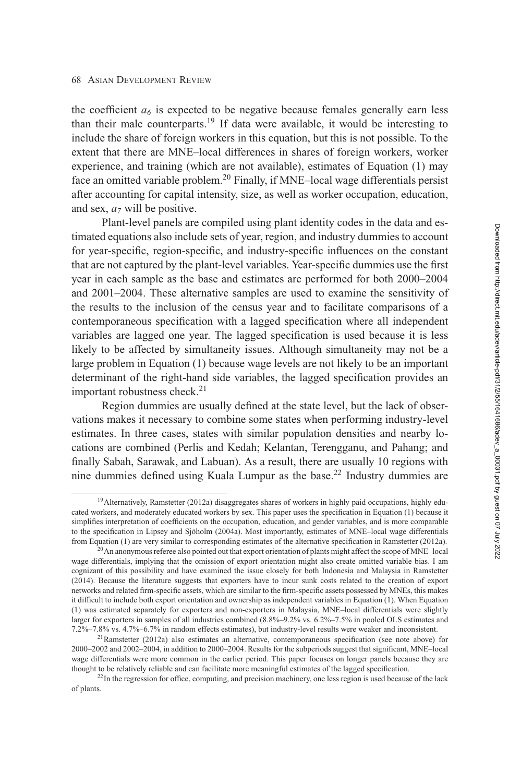the coefficient  $a_6$  is expected to be negative because females generally earn less than their male counterparts.<sup>19</sup> If data were available, it would be interesting to include the share of foreign workers in this equation, but this is not possible. To the extent that there are MNE–local differences in shares of foreign workers, worker experience, and training (which are not available), estimates of Equation (1) may face an omitted variable problem.<sup>20</sup> Finally, if MNE–local wage differentials persist after accounting for capital intensity, size, as well as worker occupation, education, and sex, *a7* will be positive.

Plant-level panels are compiled using plant identity codes in the data and estimated equations also include sets of year, region, and industry dummies to account for year-specific, region-specific, and industry-specific influences on the constant that are not captured by the plant-level variables. Year-specific dummies use the first year in each sample as the base and estimates are performed for both 2000–2004 and 2001–2004. These alternative samples are used to examine the sensitivity of the results to the inclusion of the census year and to facilitate comparisons of a contemporaneous specification with a lagged specification where all independent variables are lagged one year. The lagged specification is used because it is less likely to be affected by simultaneity issues. Although simultaneity may not be a large problem in Equation (1) because wage levels are not likely to be an important determinant of the right-hand side variables, the lagged specification provides an important robustness check.<sup>21</sup>

Region dummies are usually defined at the state level, but the lack of observations makes it necessary to combine some states when performing industry-level estimates. In three cases, states with similar population densities and nearby locations are combined (Perlis and Kedah; Kelantan, Terengganu, and Pahang; and finally Sabah, Sarawak, and Labuan). As a result, there are usually 10 regions with nine dummies defined using Kuala Lumpur as the base.<sup>22</sup> Industry dummies are

<sup>&</sup>lt;sup>19</sup>Alternatively, Ramstetter (2012a) disaggregates shares of workers in highly paid occupations, highly educated workers, and moderately educated workers by sex. This paper uses the specification in Equation (1) because it simplifies interpretation of coefficients on the occupation, education, and gender variables, and is more comparable to the specification in Lipsey and Sjöholm (2004a). Most importantly, estimates of MNE–local wage differentials from Equation (1) are very similar to corresponding estimates of the alternative specification in Ramstetter (2012a).

<sup>&</sup>lt;sup>20</sup>An anonymous referee also pointed out that export orientation of plants might affect the scope of MNE–local wage differentials, implying that the omission of export orientation might also create omitted variable bias. I am cognizant of this possibility and have examined the issue closely for both Indonesia and Malaysia in Ramstetter (2014). Because the literature suggests that exporters have to incur sunk costs related to the creation of export networks and related firm-specific assets, which are similar to the firm-specific assets possessed by MNEs, this makes it difficult to include both export orientation and ownership as independent variables in Equation (1). When Equation (1) was estimated separately for exporters and non-exporters in Malaysia, MNE–local differentials were slightly larger for exporters in samples of all industries combined (8.8%–9.2% vs. 6.2%–7.5% in pooled OLS estimates and 7.2%–7.8% vs. 4.7%–6.7% in random effects estimates), but industry-level results were weaker and inconsistent.

<sup>&</sup>lt;sup>21</sup>Ramstetter (2012a) also estimates an alternative, contemporaneous specification (see note above) for 2000–2002 and 2002–2004, in addition to 2000–2004. Results for the subperiods suggest that significant, MNE–local wage differentials were more common in the earlier period. This paper focuses on longer panels because they are thought to be relatively reliable and can facilitate more meaningful estimates of the lagged specification.

<sup>&</sup>lt;sup>22</sup>In the regression for office, computing, and precision machinery, one less region is used because of the lack of plants.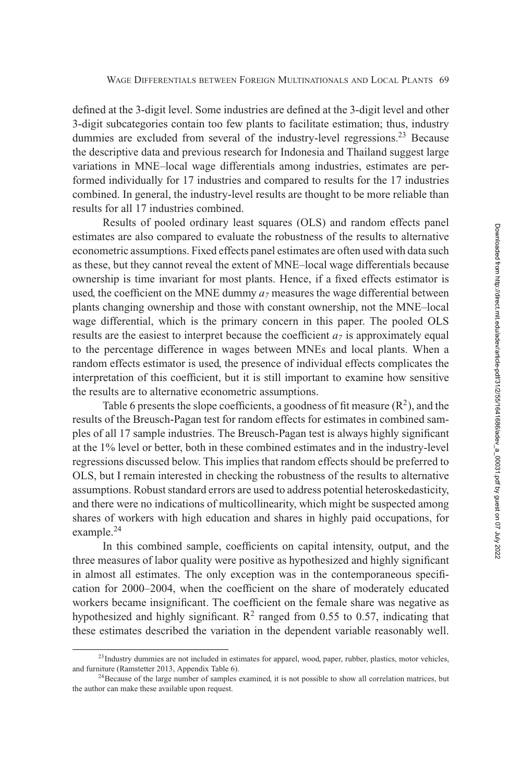defined at the 3-digit level. Some industries are defined at the 3-digit level and other 3-digit subcategories contain too few plants to facilitate estimation; thus, industry dummies are excluded from several of the industry-level regressions.<sup>23</sup> Because the descriptive data and previous research for Indonesia and Thailand suggest large variations in MNE–local wage differentials among industries, estimates are performed individually for 17 industries and compared to results for the 17 industries combined. In general, the industry-level results are thought to be more reliable than results for all 17 industries combined.

Results of pooled ordinary least squares (OLS) and random effects panel estimates are also compared to evaluate the robustness of the results to alternative econometric assumptions. Fixed effects panel estimates are often used with data such as these, but they cannot reveal the extent of MNE–local wage differentials because ownership is time invariant for most plants. Hence, if a fixed effects estimator is used, the coefficient on the MNE dummy  $a_7$  measures the wage differential between plants changing ownership and those with constant ownership, not the MNE–local wage differential, which is the primary concern in this paper. The pooled OLS results are the easiest to interpret because the coefficient  $a_7$  is approximately equal to the percentage difference in wages between MNEs and local plants. When a random effects estimator is used, the presence of individual effects complicates the interpretation of this coefficient, but it is still important to examine how sensitive the results are to alternative econometric assumptions.

Table 6 presents the slope coefficients, a goodness of fit measure  $(R^2)$ , and the results of the Breusch-Pagan test for random effects for estimates in combined samples of all 17 sample industries. The Breusch-Pagan test is always highly significant at the 1% level or better, both in these combined estimates and in the industry-level regressions discussed below. This implies that random effects should be preferred to OLS, but I remain interested in checking the robustness of the results to alternative assumptions. Robust standard errors are used to address potential heteroskedasticity, and there were no indications of multicollinearity, which might be suspected among shares of workers with high education and shares in highly paid occupations, for example.<sup>24</sup>

In this combined sample, coefficients on capital intensity, output, and the three measures of labor quality were positive as hypothesized and highly significant in almost all estimates. The only exception was in the contemporaneous specification for 2000–2004, when the coefficient on the share of moderately educated workers became insignificant. The coefficient on the female share was negative as hypothesized and highly significant.  $R^2$  ranged from 0.55 to 0.57, indicating that these estimates described the variation in the dependent variable reasonably well.

<sup>&</sup>lt;sup>23</sup>Industry dummies are not included in estimates for apparel, wood, paper, rubber, plastics, motor vehicles, and furniture (Ramstetter 2013, Appendix Table 6).

<sup>&</sup>lt;sup>24</sup>Because of the large number of samples examined, it is not possible to show all correlation matrices, but the author can make these available upon request.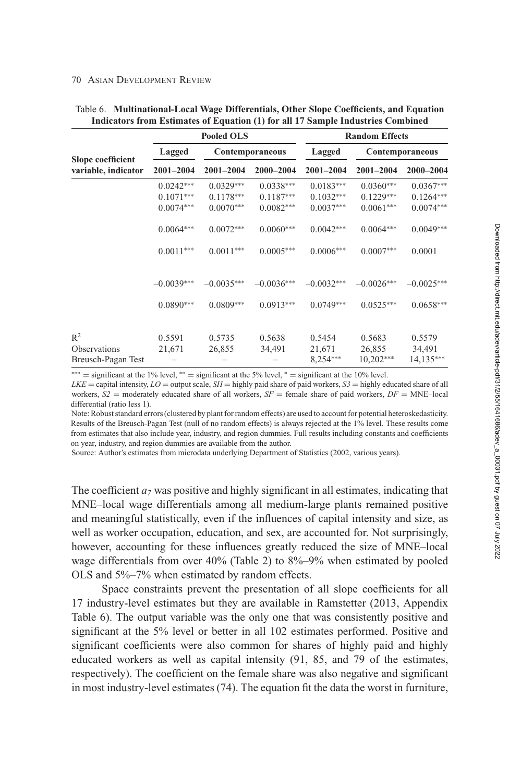|                                          |               | <b>Pooled OLS</b> |                 | <b>Random Effects</b> |                 |              |  |  |
|------------------------------------------|---------------|-------------------|-----------------|-----------------------|-----------------|--------------|--|--|
|                                          | Lagged        |                   | Contemporaneous | Lagged                | Contemporaneous |              |  |  |
| Slope coefficient<br>variable, indicator | $2001 - 2004$ | 2001-2004         | 2000-2004       | 2001-2004             | $2001 - 2004$   | 2000-2004    |  |  |
|                                          | $0.0242***$   | $0.0329***$       | $0.0338***$     | $0.0183***$           | $0.0360***$     | $0.0367***$  |  |  |
|                                          | $0.1071***$   | $0.1178***$       | $0.1187***$     | $0.1032***$           | $0.1229***$     | $0.1264***$  |  |  |
|                                          | $0.0074***$   | $0.0070***$       | $0.0082***$     | $0.0037***$           | $0.0061***$     | $0.0074***$  |  |  |
|                                          | $0.0064***$   | $0.0072***$       | $0.0060***$     | $0.0042***$           | $0.0064***$     | $0.0049***$  |  |  |
|                                          | $0.0011***$   | $0.0011***$       | $0.0005***$     | $0.0006***$           | $0.0007***$     | 0.0001       |  |  |
|                                          | $-0.0039***$  | $-0.0035***$      | $-0.0036***$    | $-0.0032***$          | $-0.0026***$    | $-0.0025***$ |  |  |
|                                          | $0.0890***$   | $0.0809***$       | $0.0913***$     | $0.0749***$           | $0.0525***$     | $0.0658***$  |  |  |
|                                          |               |                   |                 |                       |                 |              |  |  |
| $R^2$                                    | 0.5591        | 0.5735            | 0.5638          | 0.5454                | 0.5683          | 0.5579       |  |  |
| Observations                             | 21,671        | 26,855            | 34,491          | 21,671                | 26,855          | 34,491       |  |  |
| Breusch-Pagan Test                       |               |                   |                 | $8,254***$            | 10,202***       | $14,135***$  |  |  |

Table 6. **Multinational-Local Wage Differentials, Other Slope Coefficients, and Equation Indicators from Estimates of Equation (1) for all 17 Sample Industries Combined**

 $***$  = significant at the 1% level, \*\* = significant at the 5% level,  $*$  = significant at the 10% level.

 $LKE =$  capital intensity,  $LO =$  output scale,  $SH =$  highly paid share of paid workers,  $S3 =$  highly educated share of all workers,  $S2$  = moderately educated share of all workers,  $SF$  = female share of paid workers,  $DF$  = MNE–local differential (ratio less 1).

Note: Robust standard errors (clustered by plant for random effects) are used to account for potential heteroskedasticity. Results of the Breusch-Pagan Test (null of no random effects) is always rejected at the 1% level. These results come from estimates that also include year, industry, and region dummies. Full results including constants and coefficients on year, industry, and region dummies are available from the author.

Source: Author's estimates from microdata underlying Department of Statistics (2002, various years).

The coefficient  $a_7$  was positive and highly significant in all estimates, indicating that MNE–local wage differentials among all medium-large plants remained positive and meaningful statistically, even if the influences of capital intensity and size, as well as worker occupation, education, and sex, are accounted for. Not surprisingly, however, accounting for these influences greatly reduced the size of MNE–local wage differentials from over 40% (Table 2) to 8%–9% when estimated by pooled OLS and 5%–7% when estimated by random effects.

Space constraints prevent the presentation of all slope coefficients for all 17 industry-level estimates but they are available in Ramstetter (2013, Appendix Table 6). The output variable was the only one that was consistently positive and significant at the 5% level or better in all 102 estimates performed. Positive and significant coefficients were also common for shares of highly paid and highly educated workers as well as capital intensity (91, 85, and 79 of the estimates, respectively). The coefficient on the female share was also negative and significant in most industry-level estimates (74). The equation fit the data the worst in furniture,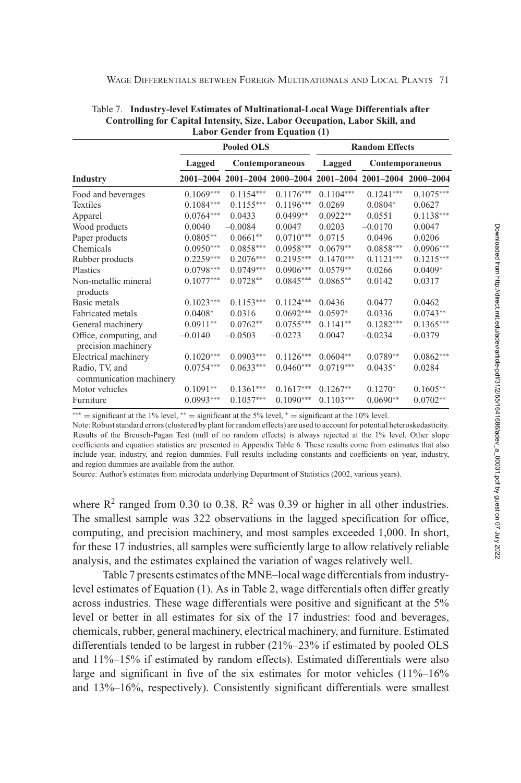|                                               |               | <b>Pooled OLS</b> |                     | <b>Random Effects</b> |                 |             |  |
|-----------------------------------------------|---------------|-------------------|---------------------|-----------------------|-----------------|-------------|--|
|                                               | Lagged        |                   | Contemporaneous     | Lagged                | Contemporaneous |             |  |
| <b>Industry</b>                               | $2001 - 2004$ |                   | 2001-2004 2000-2004 | 2001-2004             | $2001 - 2004$   | 2000-2004   |  |
| Food and beverages                            | $0.1069***$   | $0.1154***$       | $0.1176***$         | $0.1104***$           | $0.1241***$     | $0.1075***$ |  |
| <b>Textiles</b>                               | $0.1084***$   | $0.1155***$       | $0.1196***$         | 0.0269                | $0.0804*$       | 0.0627      |  |
| Apparel                                       | $0.0764***$   | 0.0433            | $0.0499**$          | $0.0922**$            | 0.0551          | $0.1138***$ |  |
| Wood products                                 | 0.0040        | $-0.0084$         | 0.0047              | 0.0203                | $-0.0170$       | 0.0047      |  |
| Paper products                                | $0.0805**$    | $0.0661**$        | $0.0710***$         | 0.0715                | 0.0496          | 0.0206      |  |
| Chemicals                                     | $0.0950***$   | $0.0858***$       | $0.0958***$         | $0.0679**$            | $0.0858***$     | $0.0906***$ |  |
| Rubber products                               | $0.2259***$   | $0.2076***$       | $0.2195***$         | $0.1470***$           | $0.1121***$     | $0.1215***$ |  |
| Plastics                                      | $0.0798***$   | $0.0749***$       | $0.0906***$         | $0.0579**$            | 0.0266          | $0.0409*$   |  |
| Non-metallic mineral<br>products              | $0.1077***$   | $0.0728**$        | $0.0845***$         | $0.0865**$            | 0.0142          | 0.0317      |  |
| Basic metals                                  | $0.1023***$   | $0.1153***$       | $0.1124***$         | 0.0436                | 0.0477          | 0.0462      |  |
| Fabricated metals                             | $0.0408*$     | 0.0316            | $0.0692***$         | $0.0597*$             | 0.0336          | $0.0743**$  |  |
| General machinery                             | $0.0911**$    | $0.0762**$        | $0.0755***$         | $0.1141**$            | $0.1282***$     | $0.1365***$ |  |
| Office, computing, and<br>precision machinery | $-0.0140$     | $-0.0503$         | $-0.0273$           | 0.0047                | $-0.0234$       | $-0.0379$   |  |
| Electrical machinery                          | $0.1020***$   | $0.0903***$       | $0.1126***$         | $0.0604**$            | $0.0789**$      | $0.0862***$ |  |
| Radio, TV, and<br>communication machinery     | $0.0754***$   | $0.0633***$       | $0.0460***$         | $0.0719***$           | $0.0435*$       | 0.0284      |  |
| Motor vehicles                                | $0.1091**$    | $0.1361***$       | $0.1617***$         | $0.1267**$            | $0.1270*$       | $0.1605**$  |  |
| Furniture                                     | $0.0993***$   | $0.1057***$       | $0.1090***$         | $0.1103***$           | $0.0690**$      | $0.0702**$  |  |

| Table 7. Industry-level Estimates of Multinational-Local Wage Differentials after |
|-----------------------------------------------------------------------------------|
| Controlling for Capital Intensity, Size, Labor Occupation, Labor Skill, and       |
| <b>Labor Gender from Equation (1)</b>                                             |

 $***$  = significant at the 1% level,  $**$  = significant at the 5% level,  $*$  = significant at the 10% level.

Note: Robust standard errors (clustered by plant for random effects) are used to account for potential heteroskedasticity. Results of the Breusch-Pagan Test (null of no random effects) is always rejected at the 1% level. Other slope coefficients and equation statistics are presented in Appendix Table 6. These results come from estimates that also include year, industry, and region dummies. Full results including constants and coefficients on year, industry, and region dummies are available from the author.

Source: Author's estimates from microdata underlying Department of Statistics (2002, various years).

where  $R^2$  ranged from 0.30 to 0.38.  $R^2$  was 0.39 or higher in all other industries. The smallest sample was 322 observations in the lagged specification for office, computing, and precision machinery, and most samples exceeded 1,000. In short, for these 17 industries, all samples were sufficiently large to allow relatively reliable analysis, and the estimates explained the variation of wages relatively well.

Table 7 presents estimates of the MNE–local wage differentials from industrylevel estimates of Equation (1). As in Table 2, wage differentials often differ greatly across industries. These wage differentials were positive and significant at the 5% level or better in all estimates for six of the 17 industries: food and beverages, chemicals, rubber, general machinery, electrical machinery, and furniture. Estimated differentials tended to be largest in rubber (21%–23% if estimated by pooled OLS and 11%–15% if estimated by random effects). Estimated differentials were also large and significant in five of the six estimates for motor vehicles  $(11\% - 16\%)$ and 13%–16%, respectively). Consistently significant differentials were smallest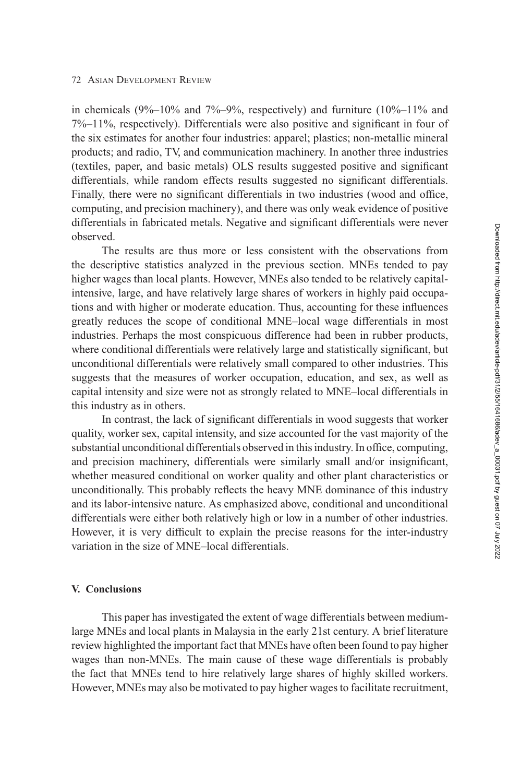in chemicals  $(9\%-10\%)$  and  $7\%-9\%$ , respectively) and furniture  $(10\%-11\%)$  and 7%–11%, respectively). Differentials were also positive and significant in four of the six estimates for another four industries: apparel; plastics; non-metallic mineral products; and radio, TV, and communication machinery. In another three industries (textiles, paper, and basic metals) OLS results suggested positive and significant differentials, while random effects results suggested no significant differentials. Finally, there were no significant differentials in two industries (wood and office, computing, and precision machinery), and there was only weak evidence of positive differentials in fabricated metals. Negative and significant differentials were never observed.

The results are thus more or less consistent with the observations from the descriptive statistics analyzed in the previous section. MNEs tended to pay higher wages than local plants. However, MNEs also tended to be relatively capitalintensive, large, and have relatively large shares of workers in highly paid occupations and with higher or moderate education. Thus, accounting for these influences greatly reduces the scope of conditional MNE–local wage differentials in most industries. Perhaps the most conspicuous difference had been in rubber products, where conditional differentials were relatively large and statistically significant, but unconditional differentials were relatively small compared to other industries. This suggests that the measures of worker occupation, education, and sex, as well as capital intensity and size were not as strongly related to MNE–local differentials in this industry as in others.

In contrast, the lack of significant differentials in wood suggests that worker quality, worker sex, capital intensity, and size accounted for the vast majority of the substantial unconditional differentials observed in this industry. In office, computing, and precision machinery, differentials were similarly small and/or insignificant, whether measured conditional on worker quality and other plant characteristics or unconditionally. This probably reflects the heavy MNE dominance of this industry and its labor-intensive nature. As emphasized above, conditional and unconditional differentials were either both relatively high or low in a number of other industries. However, it is very difficult to explain the precise reasons for the inter-industry variation in the size of MNE–local differentials.

## **V. Conclusions**

This paper has investigated the extent of wage differentials between mediumlarge MNEs and local plants in Malaysia in the early 21st century. A brief literature review highlighted the important fact that MNEs have often been found to pay higher wages than non-MNEs. The main cause of these wage differentials is probably the fact that MNEs tend to hire relatively large shares of highly skilled workers. However, MNEs may also be motivated to pay higher wages to facilitate recruitment,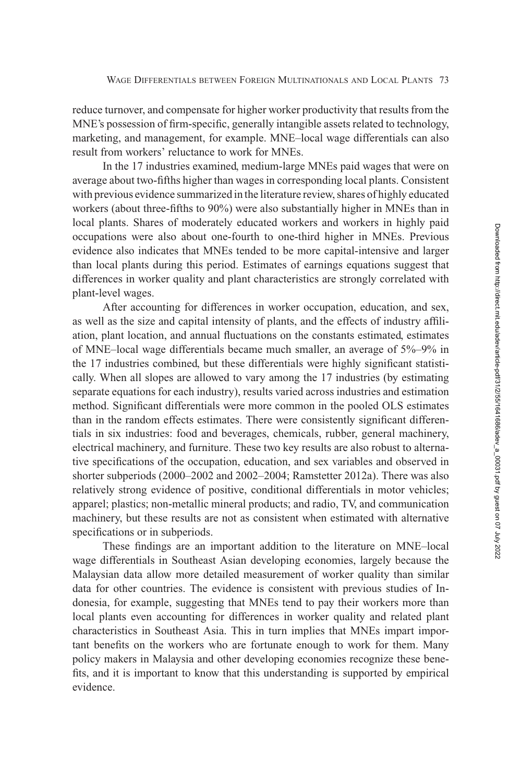reduce turnover, and compensate for higher worker productivity that results from the MNE's possession of firm-specific, generally intangible assets related to technology, marketing, and management, for example. MNE–local wage differentials can also result from workers' reluctance to work for MNEs.

In the 17 industries examined, medium-large MNEs paid wages that were on average about two-fifths higher than wages in corresponding local plants. Consistent with previous evidence summarized in the literature review, shares of highly educated workers (about three-fifths to 90%) were also substantially higher in MNEs than in local plants. Shares of moderately educated workers and workers in highly paid occupations were also about one-fourth to one-third higher in MNEs. Previous evidence also indicates that MNEs tended to be more capital-intensive and larger than local plants during this period. Estimates of earnings equations suggest that differences in worker quality and plant characteristics are strongly correlated with plant-level wages.

After accounting for differences in worker occupation, education, and sex, as well as the size and capital intensity of plants, and the effects of industry affiliation, plant location, and annual fluctuations on the constants estimated, estimates of MNE–local wage differentials became much smaller, an average of 5%–9% in the 17 industries combined, but these differentials were highly significant statistically. When all slopes are allowed to vary among the 17 industries (by estimating separate equations for each industry), results varied across industries and estimation method. Significant differentials were more common in the pooled OLS estimates than in the random effects estimates. There were consistently significant differentials in six industries: food and beverages, chemicals, rubber, general machinery, electrical machinery, and furniture. These two key results are also robust to alternative specifications of the occupation, education, and sex variables and observed in shorter subperiods (2000–2002 and 2002–2004; Ramstetter 2012a). There was also relatively strong evidence of positive, conditional differentials in motor vehicles; apparel; plastics; non-metallic mineral products; and radio, TV, and communication machinery, but these results are not as consistent when estimated with alternative specifications or in subperiods.

These findings are an important addition to the literature on MNE–local wage differentials in Southeast Asian developing economies, largely because the Malaysian data allow more detailed measurement of worker quality than similar data for other countries. The evidence is consistent with previous studies of Indonesia, for example, suggesting that MNEs tend to pay their workers more than local plants even accounting for differences in worker quality and related plant characteristics in Southeast Asia. This in turn implies that MNEs impart important benefits on the workers who are fortunate enough to work for them. Many policy makers in Malaysia and other developing economies recognize these benefits, and it is important to know that this understanding is supported by empirical evidence.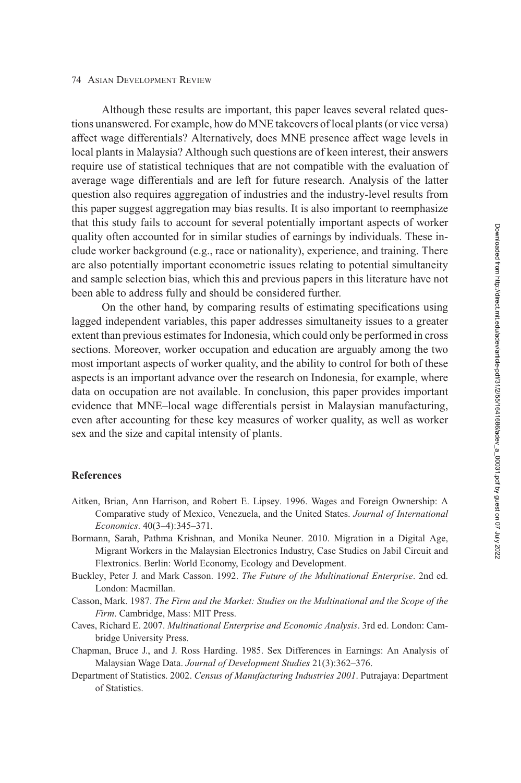Although these results are important, this paper leaves several related questions unanswered. For example, how do MNE takeovers of local plants (or vice versa) affect wage differentials? Alternatively, does MNE presence affect wage levels in local plants in Malaysia? Although such questions are of keen interest, their answers require use of statistical techniques that are not compatible with the evaluation of average wage differentials and are left for future research. Analysis of the latter question also requires aggregation of industries and the industry-level results from this paper suggest aggregation may bias results. It is also important to reemphasize that this study fails to account for several potentially important aspects of worker quality often accounted for in similar studies of earnings by individuals. These include worker background (e.g., race or nationality), experience, and training. There are also potentially important econometric issues relating to potential simultaneity and sample selection bias, which this and previous papers in this literature have not been able to address fully and should be considered further.

On the other hand, by comparing results of estimating specifications using lagged independent variables, this paper addresses simultaneity issues to a greater extent than previous estimates for Indonesia, which could only be performed in cross sections. Moreover, worker occupation and education are arguably among the two most important aspects of worker quality, and the ability to control for both of these aspects is an important advance over the research on Indonesia, for example, where data on occupation are not available. In conclusion, this paper provides important evidence that MNE–local wage differentials persist in Malaysian manufacturing, even after accounting for these key measures of worker quality, as well as worker sex and the size and capital intensity of plants.

## **References**

- Aitken, Brian, Ann Harrison, and Robert E. Lipsey. 1996. Wages and Foreign Ownership: A Comparative study of Mexico, Venezuela, and the United States. *Journal of International Economics*. 40(3–4):345–371.
- Bormann, Sarah, Pathma Krishnan, and Monika Neuner. 2010. Migration in a Digital Age, Migrant Workers in the Malaysian Electronics Industry, Case Studies on Jabil Circuit and Flextronics. Berlin: World Economy, Ecology and Development.
- Buckley, Peter J. and Mark Casson. 1992. *The Future of the Multinational Enterprise*. 2nd ed. London: Macmillan.
- Casson, Mark. 1987. *The Firm and the Market: Studies on the Multinational and the Scope of the Firm*. Cambridge, Mass: MIT Press.
- Caves, Richard E. 2007. *Multinational Enterprise and Economic Analysis*. 3rd ed. London: Cambridge University Press.
- Chapman, Bruce J., and J. Ross Harding. 1985. Sex Differences in Earnings: An Analysis of Malaysian Wage Data. *Journal of Development Studies* 21(3):362–376.
- Department of Statistics. 2002. *Census of Manufacturing Industries 2001*. Putrajaya: Department of Statistics.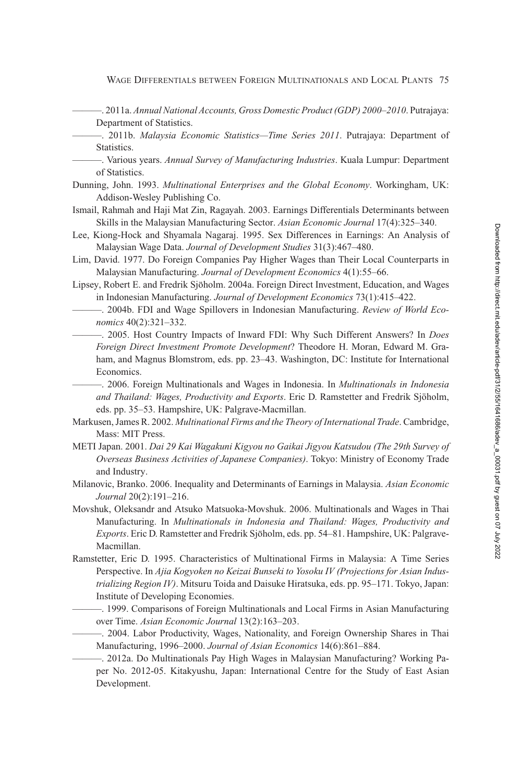- ———. 2011a. *Annual National Accounts, Gross Domestic Product (GDP) 2000–2010*. Putrajaya: Department of Statistics.
	- ———. 2011b. *Malaysia Economic Statistics—Time Series 2011*. Putrajaya: Department of Statistics.
	- ———. Various years. *Annual Survey of Manufacturing Industries*. Kuala Lumpur: Department of Statistics.
- Dunning, John. 1993. *Multinational Enterprises and the Global Economy*. Workingham, UK: Addison-Wesley Publishing Co.
- Ismail, Rahmah and Haji Mat Zin, Ragayah. 2003. Earnings Differentials Determinants between Skills in the Malaysian Manufacturing Sector. *Asian Economic Journal* 17(4):325–340.
- Lee, Kiong-Hock and Shyamala Nagaraj. 1995. Sex Differences in Earnings: An Analysis of Malaysian Wage Data. *Journal of Development Studies* 31(3):467–480.
- Lim, David. 1977. Do Foreign Companies Pay Higher Wages than Their Local Counterparts in Malaysian Manufacturing. *Journal of Development Economics* 4(1):55–66.
- Lipsey, Robert E. and Fredrik Sjoholm. 2004a. Foreign Direct Investment, Education, and Wages ¨ in Indonesian Manufacturing. *Journal of Development Economics* 73(1):415–422.
	- ———. 2004b. FDI and Wage Spillovers in Indonesian Manufacturing. *Review of World Economics* 40(2):321–332.
		- ———. 2005. Host Country Impacts of Inward FDI: Why Such Different Answers? In *Does Foreign Direct Investment Promote Development*? Theodore H. Moran, Edward M. Graham, and Magnus Blomstrom, eds. pp. 23–43. Washington, DC: Institute for International Economics.

———. 2006. Foreign Multinationals and Wages in Indonesia. In *Multinationals in Indonesia and Thailand: Wages, Productivity and Exports*. Eric D. Ramstetter and Fredrik Sjoholm, ¨ eds. pp. 35–53. Hampshire, UK: Palgrave-Macmillan.

- Markusen, James R. 2002. *Multinational Firms and the Theory of International Trade*. Cambridge, Mass: MIT Press.
- METI Japan. 2001. *Dai 29 Kai Wagakuni Kigyou no Gaikai Jigyou Katsudou (The 29th Survey of Overseas Business Activities of Japanese Companies)*. Tokyo: Ministry of Economy Trade and Industry.
- Milanovic, Branko. 2006. Inequality and Determinants of Earnings in Malaysia. *Asian Economic Journal* 20(2):191–216.
- Movshuk, Oleksandr and Atsuko Matsuoka-Movshuk. 2006. Multinationals and Wages in Thai Manufacturing. In *Multinationals in Indonesia and Thailand: Wages, Productivity and Exports*. Eric D. Ramstetter and Fredrik Sjoholm, eds. pp. 54–81. Hampshire, UK: Palgrave- ¨ Macmillan.
- Ramstetter, Eric D. 1995. Characteristics of Multinational Firms in Malaysia: A Time Series Perspective. In *Ajia Kogyoken no Keizai Bunseki to Yosoku IV (Projections for Asian Industrializing Region IV)*. Mitsuru Toida and Daisuke Hiratsuka, eds. pp. 95–171. Tokyo, Japan: Institute of Developing Economies.
	- ———. 1999. Comparisons of Foreign Multinationals and Local Firms in Asian Manufacturing over Time. *Asian Economic Journal* 13(2):163–203.
	- ———. 2004. Labor Productivity, Wages, Nationality, and Foreign Ownership Shares in Thai Manufacturing, 1996–2000. *Journal of Asian Economics* 14(6):861–884.
	- ———. 2012a. Do Multinationals Pay High Wages in Malaysian Manufacturing? Working Paper No. 2012-05. Kitakyushu, Japan: International Centre for the Study of East Asian Development.